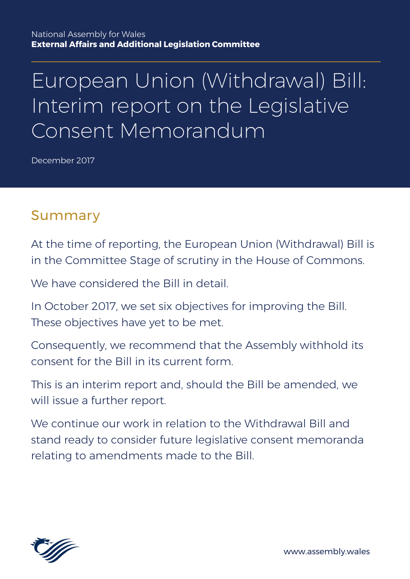# European Union (Withdrawal) Bill: Interim report on the Legislative Consent Memorandum

December 2017

## Summary

At the time of reporting, the European Union (Withdrawal) Bill is in the Committee Stage of scrutiny in the House of Commons.

We have considered the Bill in detail

In October 2017, we set six objectives for improving the Bill. These objectives have yet to be met.

Consequently, we recommend that the Assembly withhold its consent for the Bill in its current form.

This is an interim report and, should the Bill be amended, we will issue a further report.

We continue our work in relation to the Withdrawal Bill and stand ready to consider future legislative consent memoranda relating to amendments made to the Bill.



www.assembly.wales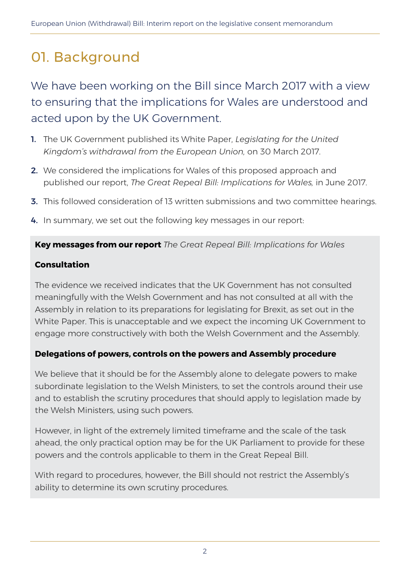## 01. Background

We have been working on the Bill since March 2017 with a view to ensuring that the implications for Wales are understood and acted upon by the UK Government.

- 1. The UK Government published its White Paper, *Legislating for the United Kingdom's withdrawal from the European Union,* on 30 March 2017.
- 2. We considered the implications for Wales of this proposed approach and published our report, *The Great Repeal Bill: Implications for Wales,* in June 2017.
- 3. This followed consideration of 13 written submissions and two committee hearings.
- 4. In summary, we set out the following key messages in our report:

#### **Key messages from our report** *The Great Repeal Bill: Implications for Wales*

#### **Consultation**

The evidence we received indicates that the UK Government has not consulted meaningfully with the Welsh Government and has not consulted at all with the Assembly in relation to its preparations for legislating for Brexit, as set out in the White Paper. This is unacceptable and we expect the incoming UK Government to engage more constructively with both the Welsh Government and the Assembly.

#### **Delegations of powers, controls on the powers and Assembly procedure**

We believe that it should be for the Assembly alone to delegate powers to make subordinate legislation to the Welsh Ministers, to set the controls around their use and to establish the scrutiny procedures that should apply to legislation made by the Welsh Ministers, using such powers.

However, in light of the extremely limited timeframe and the scale of the task ahead, the only practical option may be for the UK Parliament to provide for these powers and the controls applicable to them in the Great Repeal Bill.

With regard to procedures, however, the Bill should not restrict the Assembly's ability to determine its own scrutiny procedures.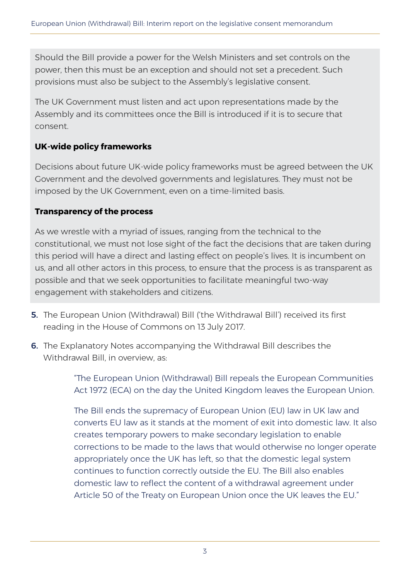Should the Bill provide a power for the Welsh Ministers and set controls on the power, then this must be an exception and should not set a precedent. Such provisions must also be subject to the Assembly's legislative consent.

The UK Government must listen and act upon representations made by the Assembly and its committees once the Bill is introduced if it is to secure that consent.

#### **UK-wide policy frameworks**

Decisions about future UK-wide policy frameworks must be agreed between the UK Government and the devolved governments and legislatures. They must not be imposed by the UK Government, even on a time-limited basis.

#### **Transparency of the process**

As we wrestle with a myriad of issues, ranging from the technical to the constitutional, we must not lose sight of the fact the decisions that are taken during this period will have a direct and lasting effect on people's lives. It is incumbent on us, and all other actors in this process, to ensure that the process is as transparent as possible and that we seek opportunities to facilitate meaningful two-way engagement with stakeholders and citizens.

- 5. The European Union (Withdrawal) Bill ('the Withdrawal Bill') received its first reading in the House of Commons on 13 July 2017.
- 6. The Explanatory Notes accompanying the Withdrawal Bill describes the Withdrawal Bill, in overview, as:

"The European Union (Withdrawal) Bill repeals the European Communities Act 1972 (ECA) on the day the United Kingdom leaves the European Union.

The Bill ends the supremacy of European Union (EU) law in UK law and converts EU law as it stands at the moment of exit into domestic law. It also creates temporary powers to make secondary legislation to enable corrections to be made to the laws that would otherwise no longer operate appropriately once the UK has left, so that the domestic legal system continues to function correctly outside the EU. The Bill also enables domestic law to reflect the content of a withdrawal agreement under Article 50 of the Treaty on European Union once the UK leaves the EU."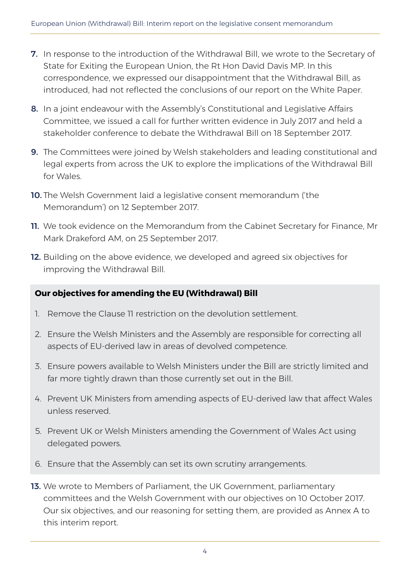- **7.** In response to the introduction of the Withdrawal Bill, we wrote to the Secretary of State for Exiting the European Union, the Rt Hon David Davis MP. In this correspondence, we expressed our disappointment that the Withdrawal Bill, as introduced, had not reflected the conclusions of our report on the White Paper.
- 8. In a joint endeavour with the Assembly's Constitutional and Legislative Affairs Committee, we issued a call for further written evidence in July 2017 and held a stakeholder conference to debate the Withdrawal Bill on 18 September 2017.
- 9. The Committees were joined by Welsh stakeholders and leading constitutional and legal experts from across the UK to explore the implications of the Withdrawal Bill for Wales.
- 10. The Welsh Government laid a legislative consent memorandum ('the Memorandum') on 12 September 2017.
- 11. We took evidence on the Memorandum from the Cabinet Secretary for Finance, Mr Mark Drakeford AM, on 25 September 2017.
- 12. Building on the above evidence, we developed and agreed six objectives for improving the Withdrawal Bill.

#### **Our objectives for amending the EU (Withdrawal) Bill**

- 1. Remove the Clause 11 restriction on the devolution settlement.
- 2. Ensure the Welsh Ministers and the Assembly are responsible for correcting all aspects of EU-derived law in areas of devolved competence.
- 3. Ensure powers available to Welsh Ministers under the Bill are strictly limited and far more tightly drawn than those currently set out in the Bill.
- 4. Prevent UK Ministers from amending aspects of EU-derived law that affect Wales unless reserved.
- 5. Prevent UK or Welsh Ministers amending the Government of Wales Act using delegated powers.
- 6. Ensure that the Assembly can set its own scrutiny arrangements.
- 13. We wrote to Members of Parliament, the UK Government, parliamentary committees and the Welsh Government with our objectives on 10 October 2017. Our six objectives, and our reasoning for setting them, are provided as Annex A to this interim report.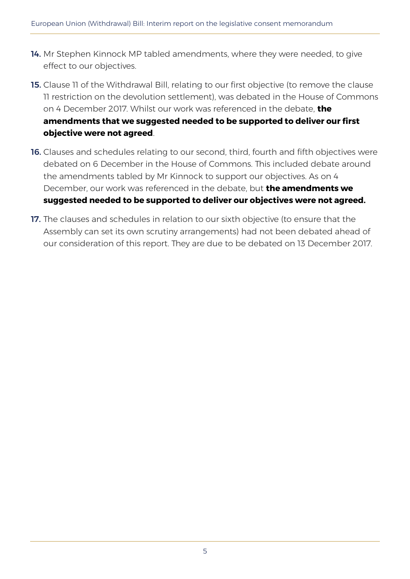- 14. Mr Stephen Kinnock MP tabled amendments, where they were needed, to give effect to our objectives.
- **15.** Clause 11 of the Withdrawal Bill, relating to our first objective (to remove the clause 11 restriction on the devolution settlement), was debated in the House of Commons on 4 December 2017. Whilst our work was referenced in the debate, **the amendments that we suggested needed to be supported to deliver our first objective were not agreed**.
- **16.** Clauses and schedules relating to our second, third, fourth and fifth objectives were debated on 6 December in the House of Commons. This included debate around the amendments tabled by Mr Kinnock to support our objectives. As on 4 December, our work was referenced in the debate, but **the amendments we suggested needed to be supported to deliver our objectives were not agreed.**
- 17. The clauses and schedules in relation to our sixth objective (to ensure that the Assembly can set its own scrutiny arrangements) had not been debated ahead of our consideration of this report. They are due to be debated on 13 December 2017.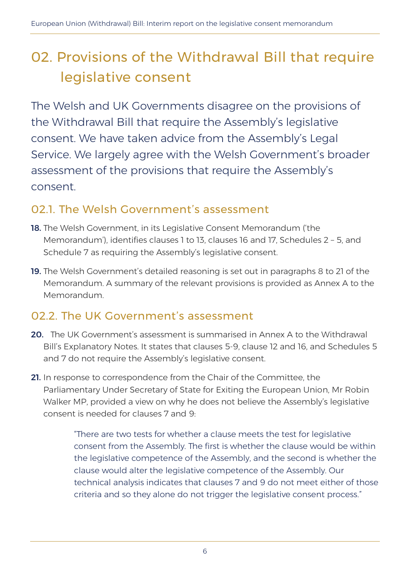## 02. Provisions of the Withdrawal Bill that require legislative consent

The Welsh and UK Governments disagree on the provisions of the Withdrawal Bill that require the Assembly's legislative consent. We have taken advice from the Assembly's Legal Service. We largely agree with the Welsh Government's broader assessment of the provisions that require the Assembly's consent.

### 02.1. The Welsh Government's assessment

- 18. The Welsh Government, in its Legislative Consent Memorandum ('the Memorandum'), identifies clauses 1 to 13, clauses 16 and 17, Schedules 2 – 5, and Schedule 7 as requiring the Assembly's legislative consent.
- 19. The Welsh Government's detailed reasoning is set out in paragraphs 8 to 21 of the Memorandum. A summary of the relevant provisions is provided as Annex A to the Memorandum.

### 02.2. The UK Government's assessment

- 20. The UK Government's assessment is summarised in Annex A to the Withdrawal Bill's Explanatory Notes. It states that clauses 5-9, clause 12 and 16, and Schedules 5 and 7 do not require the Assembly's legislative consent.
- 21. In response to correspondence from the Chair of the Committee, the Parliamentary Under Secretary of State for Exiting the European Union, Mr Robin Walker MP, provided a view on why he does not believe the Assembly's legislative consent is needed for clauses 7 and 9:

"There are two tests for whether a clause meets the test for legislative consent from the Assembly. The first is whether the clause would be within the legislative competence of the Assembly, and the second is whether the clause would alter the legislative competence of the Assembly. Our technical analysis indicates that clauses 7 and 9 do not meet either of those criteria and so they alone do not trigger the legislative consent process."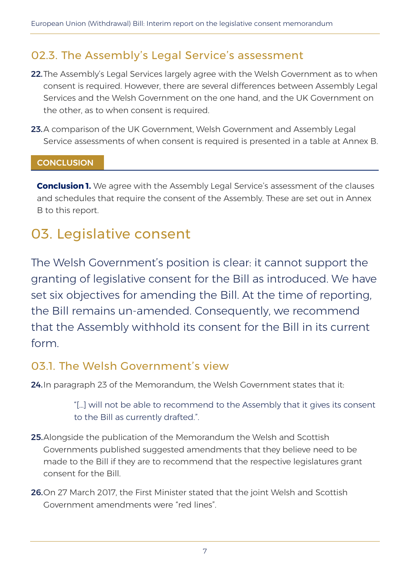### 02.3. The Assembly's Legal Service's assessment

- 22. The Assembly's Legal Services largely agree with the Welsh Government as to when consent is required. However, there are several differences between Assembly Legal Services and the Welsh Government on the one hand, and the UK Government on the other, as to when consent is required.
- 23.A comparison of the UK Government, Welsh Government and Assembly Legal Service assessments of when consent is required is presented in a table at Annex B.

#### **CONCLUSION**

**Conclusion 1.** We agree with the Assembly Legal Service's assessment of the clauses and schedules that require the consent of the Assembly. These are set out in Annex B to this report.

### 03. Legislative consent

The Welsh Government's position is clear: it cannot support the granting of legislative consent for the Bill as introduced. We have set six objectives for amending the Bill. At the time of reporting, the Bill remains un-amended. Consequently, we recommend that the Assembly withhold its consent for the Bill in its current form.

#### 03.1. The Welsh Government's view

24. In paragraph 23 of the Memorandum, the Welsh Government states that it:

"[…] will not be able to recommend to the Assembly that it gives its consent to the Bill as currently drafted.".

- 25. Alongside the publication of the Memorandum the Welsh and Scottish Governments published suggested amendments that they believe need to be made to the Bill if they are to recommend that the respective legislatures grant consent for the Bill.
- 26.On 27 March 2017, the First Minister stated that the joint Welsh and Scottish Government amendments were "red lines".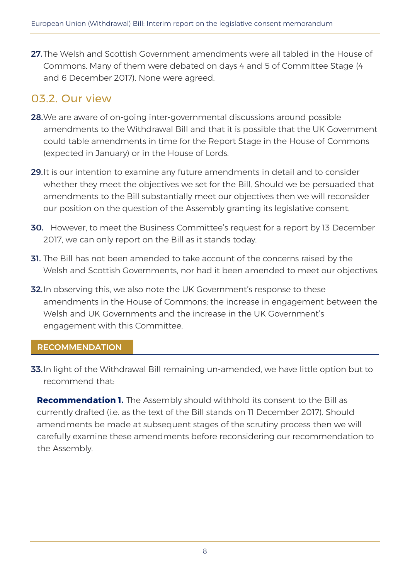27. The Welsh and Scottish Government amendments were all tabled in the House of Commons. Many of them were debated on days 4 and 5 of Committee Stage (4 and 6 December 2017). None were agreed.

### 03.2. Our view

- 28. We are aware of on-going inter-governmental discussions around possible amendments to the Withdrawal Bill and that it is possible that the UK Government could table amendments in time for the Report Stage in the House of Commons (expected in January) or in the House of Lords.
- 29. It is our intention to examine any future amendments in detail and to consider whether they meet the objectives we set for the Bill. Should we be persuaded that amendments to the Bill substantially meet our objectives then we will reconsider our position on the question of the Assembly granting its legislative consent.
- **30.** However, to meet the Business Committee's request for a report by 13 December 2017, we can only report on the Bill as it stands today.
- **31.** The Bill has not been amended to take account of the concerns raised by the Welsh and Scottish Governments, nor had it been amended to meet our objectives.
- 32. In observing this, we also note the UK Government's response to these amendments in the House of Commons; the increase in engagement between the Welsh and UK Governments and the increase in the UK Government's engagement with this Committee.

#### RECOMMENDATION

33. In light of the Withdrawal Bill remaining un-amended, we have little option but to recommend that:

**Recommendation 1.** The Assembly should withhold its consent to the Bill as currently drafted (i.e. as the text of the Bill stands on 11 December 2017). Should amendments be made at subsequent stages of the scrutiny process then we will carefully examine these amendments before reconsidering our recommendation to the Assembly.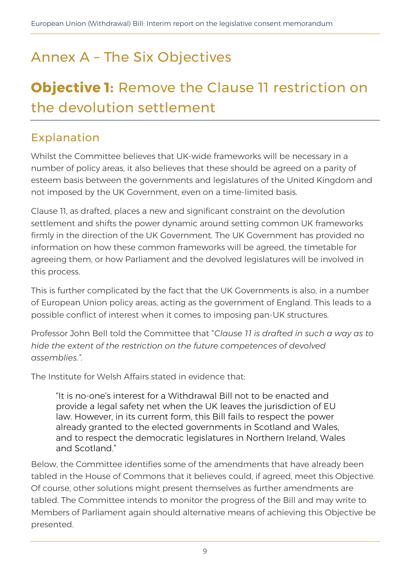## Annex A – The Six Objectives

## **Objective 1:** Remove the Clause 11 restriction on the devolution settlement

### Explanation

Whilst the Committee believes that UK-wide frameworks will be necessary in a number of policy areas, it also believes that these should be agreed on a parity of esteem basis between the governments and legislatures of the United Kingdom and not imposed by the UK Government, even on a time-limited basis.

Clause 11, as drafted, places a new and significant constraint on the devolution settlement and shifts the power dynamic around setting common UK frameworks firmly in the direction of the UK Government. The UK Government has provided no information on how these common frameworks will be agreed, the timetable for agreeing them, or how Parliament and the devolved legislatures will be involved in this process.

This is further complicated by the fact that the UK Governments is also, in a number of European Union policy areas, acting as the government of England. This leads to a possible conflict of interest when it comes to imposing pan-UK structures.

Professor John Bell told the Committee that "*Clause 11 is drafted in such a way as to hide the extent of the restriction on the future competences of devolved assemblies.".*

The Institute for Welsh Affairs stated in evidence that:

"It is no-one's interest for a Withdrawal Bill not to be enacted and provide a legal safety net when the UK leaves the jurisdiction of EU law. However, in its current form, this Bill fails to respect the power already granted to the elected governments in Scotland and Wales, and to respect the democratic legislatures in Northern Ireland, Wales and Scotland."

Below, the Committee identifies some of the amendments that have already been tabled in the House of Commons that it believes could, if agreed, meet this Objective. Of course, other solutions might present themselves as further amendments are tabled. The Committee intends to monitor the progress of the Bill and may write to Members of Parliament again should alternative means of achieving this Objective be presented.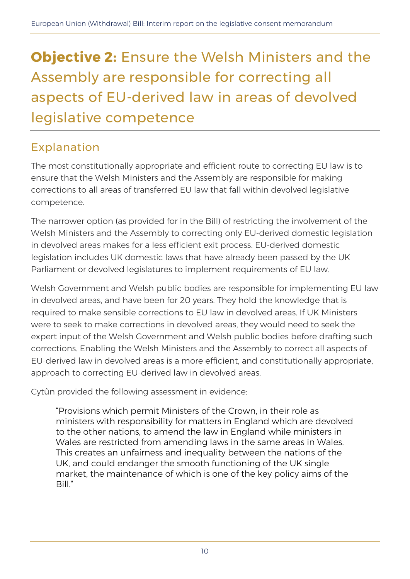## **Objective 2:** Ensure the Welsh Ministers and the Assembly are responsible for correcting all aspects of EU-derived law in areas of devolved legislative competence

### Explanation

The most constitutionally appropriate and efficient route to correcting EU law is to ensure that the Welsh Ministers and the Assembly are responsible for making corrections to all areas of transferred EU law that fall within devolved legislative competence.

The narrower option (as provided for in the Bill) of restricting the involvement of the Welsh Ministers and the Assembly to correcting only EU-derived domestic legislation in devolved areas makes for a less efficient exit process. EU-derived domestic legislation includes UK domestic laws that have already been passed by the UK Parliament or devolved legislatures to implement requirements of EU law.

Welsh Government and Welsh public bodies are responsible for implementing EU law in devolved areas, and have been for 20 years. They hold the knowledge that is required to make sensible corrections to EU law in devolved areas. If UK Ministers were to seek to make corrections in devolved areas, they would need to seek the expert input of the Welsh Government and Welsh public bodies before drafting such corrections. Enabling the Welsh Ministers and the Assembly to correct all aspects of EU-derived law in devolved areas is a more efficient, and constitutionally appropriate, approach to correcting EU-derived law in devolved areas.

Cytûn provided the following assessment in evidence:

"Provisions which permit Ministers of the Crown, in their role as ministers with responsibility for matters in England which are devolved to the other nations, to amend the law in England while ministers in Wales are restricted from amending laws in the same areas in Wales. This creates an unfairness and inequality between the nations of the UK, and could endanger the smooth functioning of the UK single market, the maintenance of which is one of the key policy aims of the Bill."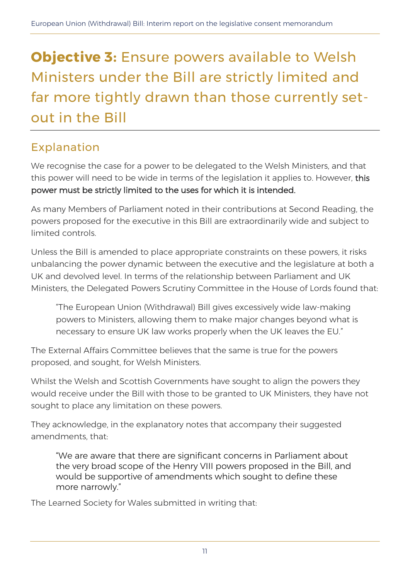## **Objective 3:** Ensure powers available to Welsh Ministers under the Bill are strictly limited and far more tightly drawn than those currently setout in the Bill

### Explanation

We recognise the case for a power to be delegated to the Welsh Ministers, and that this power will need to be wide in terms of the legislation it applies to. However, this power must be strictly limited to the uses for which it is intended.

As many Members of Parliament noted in their contributions at Second Reading, the powers proposed for the executive in this Bill are extraordinarily wide and subject to limited controls.

Unless the Bill is amended to place appropriate constraints on these powers, it risks unbalancing the power dynamic between the executive and the legislature at both a UK and devolved level. In terms of the relationship between Parliament and UK Ministers, the Delegated Powers Scrutiny Committee in the House of Lords found that:

"The European Union (Withdrawal) Bill gives excessively wide law-making powers to Ministers, allowing them to make major changes beyond what is necessary to ensure UK law works properly when the UK leaves the EU."

The External Affairs Committee believes that the same is true for the powers proposed, and sought, for Welsh Ministers.

Whilst the Welsh and Scottish Governments have sought to align the powers they would receive under the Bill with those to be granted to UK Ministers, they have not sought to place any limitation on these powers.

They acknowledge, in the explanatory notes that accompany their suggested amendments, that:

"We are aware that there are significant concerns in Parliament about the very broad scope of the Henry VIII powers proposed in the Bill, and would be supportive of amendments which sought to define these more narrowly."

The Learned Society for Wales submitted in writing that: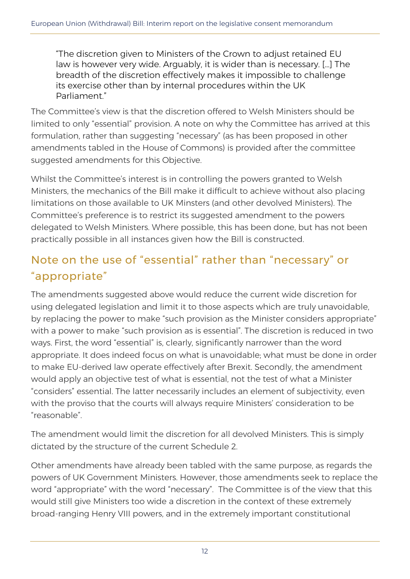"The discretion given to Ministers of the Crown to adjust retained EU law is however very wide. Arguably, it is wider than is necessary. […] The breadth of the discretion effectively makes it impossible to challenge its exercise other than by internal procedures within the UK Parliament."

The Committee's view is that the discretion offered to Welsh Ministers should be limited to only "essential" provision. A note on why the Committee has arrived at this formulation, rather than suggesting "necessary" (as has been proposed in other amendments tabled in the House of Commons) is provided after the committee suggested amendments for this Objective.

Whilst the Committee's interest is in controlling the powers granted to Welsh Ministers, the mechanics of the Bill make it difficult to achieve without also placing limitations on those available to UK Minsters (and other devolved Ministers). The Committee's preference is to restrict its suggested amendment to the powers delegated to Welsh Ministers. Where possible, this has been done, but has not been practically possible in all instances given how the Bill is constructed.

### Note on the use of "essential" rather than "necessary" or "appropriate"

The amendments suggested above would reduce the current wide discretion for using delegated legislation and limit it to those aspects which are truly unavoidable, by replacing the power to make "such provision as the Minister considers appropriate" with a power to make "such provision as is essential". The discretion is reduced in two ways. First, the word "essential" is, clearly, significantly narrower than the word appropriate. It does indeed focus on what is unavoidable; what must be done in order to make EU-derived law operate effectively after Brexit. Secondly, the amendment would apply an objective test of what is essential, not the test of what a Minister "considers" essential. The latter necessarily includes an element of subjectivity, even with the proviso that the courts will always require Ministers' consideration to be "reasonable".

The amendment would limit the discretion for all devolved Ministers. This is simply dictated by the structure of the current Schedule 2.

Other amendments have already been tabled with the same purpose, as regards the powers of UK Government Ministers. However, those amendments seek to replace the word "appropriate" with the word "necessary". The Committee is of the view that this would still give Ministers too wide a discretion in the context of these extremely broad-ranging Henry VIII powers, and in the extremely important constitutional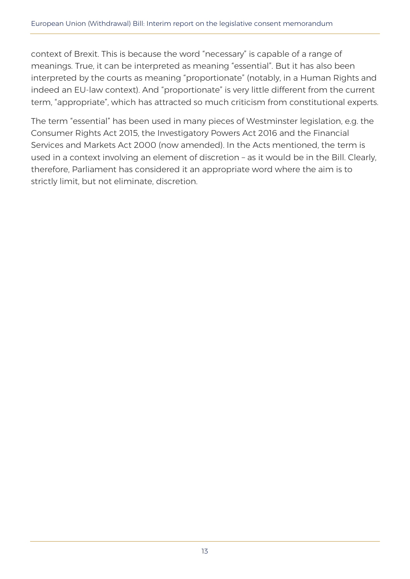context of Brexit. This is because the word "necessary" is capable of a range of meanings. True, it can be interpreted as meaning "essential". But it has also been interpreted by the courts as meaning "proportionate" (notably, in a Human Rights and indeed an EU-law context). And "proportionate" is very little different from the current term, "appropriate", which has attracted so much criticism from constitutional experts.

The term "essential" has been used in many pieces of Westminster legislation, e.g. the Consumer Rights Act 2015, the Investigatory Powers Act 2016 and the Financial Services and Markets Act 2000 (now amended). In the Acts mentioned, the term is used in a context involving an element of discretion – as it would be in the Bill. Clearly, therefore, Parliament has considered it an appropriate word where the aim is to strictly limit, but not eliminate, discretion.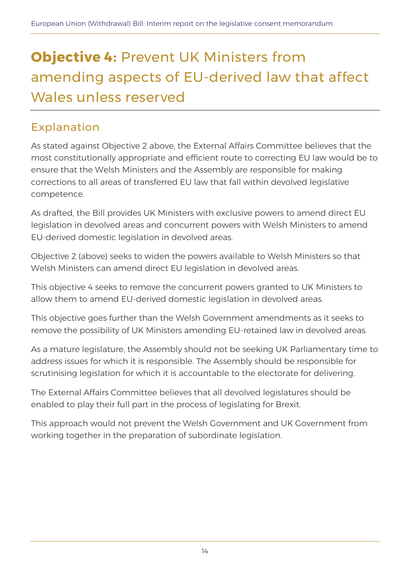## **Objective 4:** Prevent UK Ministers from amending aspects of EU-derived law that affect Wales unless reserved

### Explanation

As stated against Objective 2 above, the External Affairs Committee believes that the most constitutionally appropriate and efficient route to correcting EU law would be to ensure that the Welsh Ministers and the Assembly are responsible for making corrections to all areas of transferred EU law that fall within devolved legislative competence.

As drafted, the Bill provides UK Ministers with exclusive powers to amend direct EU legislation in devolved areas and concurrent powers with Welsh Ministers to amend EU-derived domestic legislation in devolved areas.

Objective 2 (above) seeks to widen the powers available to Welsh Ministers so that Welsh Ministers can amend direct EU legislation in devolved areas.

This objective 4 seeks to remove the concurrent powers granted to UK Ministers to allow them to amend EU-derived domestic legislation in devolved areas.

This objective goes further than the Welsh Government amendments as it seeks to remove the possibility of UK Ministers amending EU-retained law in devolved areas.

As a mature legislature, the Assembly should not be seeking UK Parliamentary time to address issues for which it is responsible. The Assembly should be responsible for scrutinising legislation for which it is accountable to the electorate for delivering.

The External Affairs Committee believes that all devolved legislatures should be enabled to play their full part in the process of legislating for Brexit.

This approach would not prevent the Welsh Government and UK Government from working together in the preparation of subordinate legislation.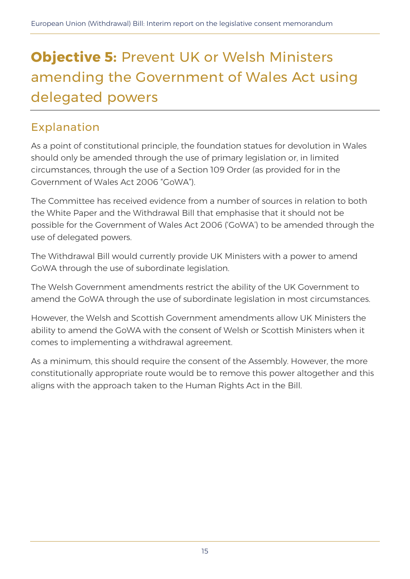## **Objective 5:** Prevent UK or Welsh Ministers amending the Government of Wales Act using delegated powers

### Explanation

As a point of constitutional principle, the foundation statues for devolution in Wales should only be amended through the use of primary legislation or, in limited circumstances, through the use of a Section 109 Order (as provided for in the Government of Wales Act 2006 "GoWA").

The Committee has received evidence from a number of sources in relation to both the White Paper and the Withdrawal Bill that emphasise that it should not be possible for the Government of Wales Act 2006 ('GoWA') to be amended through the use of delegated powers.

The Withdrawal Bill would currently provide UK Ministers with a power to amend GoWA through the use of subordinate legislation.

The Welsh Government amendments restrict the ability of the UK Government to amend the GoWA through the use of subordinate legislation in most circumstances.

However, the Welsh and Scottish Government amendments allow UK Ministers the ability to amend the GoWA with the consent of Welsh or Scottish Ministers when it comes to implementing a withdrawal agreement.

As a minimum, this should require the consent of the Assembly. However, the more constitutionally appropriate route would be to remove this power altogether and this aligns with the approach taken to the Human Rights Act in the Bill.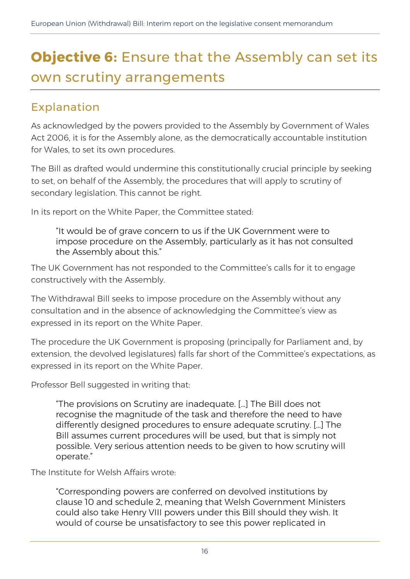## **Objective 6:** Ensure that the Assembly can set its own scrutiny arrangements

### Explanation

As acknowledged by the powers provided to the Assembly by Government of Wales Act 2006, it is for the Assembly alone, as the democratically accountable institution for Wales, to set its own procedures.

The Bill as drafted would undermine this constitutionally crucial principle by seeking to set, on behalf of the Assembly, the procedures that will apply to scrutiny of secondary legislation. This cannot be right.

In its report on the White Paper, the Committee stated:

"It would be of grave concern to us if the UK Government were to impose procedure on the Assembly, particularly as it has not consulted the Assembly about this."

The UK Government has not responded to the Committee's calls for it to engage constructively with the Assembly.

The Withdrawal Bill seeks to impose procedure on the Assembly without any consultation and in the absence of acknowledging the Committee's view as expressed in its report on the White Paper.

The procedure the UK Government is proposing (principally for Parliament and, by extension, the devolved legislatures) falls far short of the Committee's expectations, as expressed in its report on the White Paper.

Professor Bell suggested in writing that:

"The provisions on Scrutiny are inadequate. […] The Bill does not recognise the magnitude of the task and therefore the need to have differently designed procedures to ensure adequate scrutiny. […] The Bill assumes current procedures will be used, but that is simply not possible. Very serious attention needs to be given to how scrutiny will operate."

The Institute for Welsh Affairs wrote:

"Corresponding powers are conferred on devolved institutions by clause 10 and schedule 2, meaning that Welsh Government Ministers could also take Henry VIII powers under this Bill should they wish. It would of course be unsatisfactory to see this power replicated in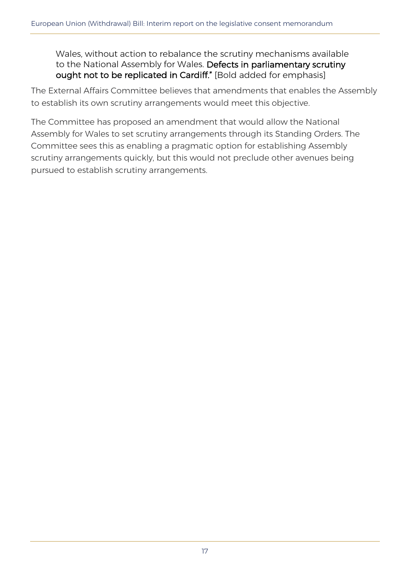Wales, without action to rebalance the scrutiny mechanisms available to the National Assembly for Wales. Defects in parliamentary scrutiny ought not to be replicated in Cardiff." [Bold added for emphasis]

The External Affairs Committee believes that amendments that enables the Assembly to establish its own scrutiny arrangements would meet this objective.

The Committee has proposed an amendment that would allow the National Assembly for Wales to set scrutiny arrangements through its Standing Orders. The Committee sees this as enabling a pragmatic option for establishing Assembly scrutiny arrangements quickly, but this would not preclude other avenues being pursued to establish scrutiny arrangements.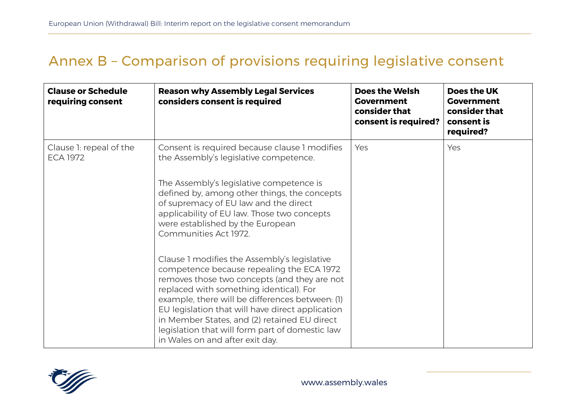### Annex B – Comparison of provisions requiring legislative consent

| <b>Clause or Schedule</b><br>requiring consent | <b>Reason why Assembly Legal Services</b><br>considers consent is required                                                                                                                                                                                                                                                                                                                                                        | <b>Does the Welsh</b><br><b>Government</b><br>consider that<br>consent is required? | Does the UK<br><b>Government</b><br>consider that<br>consent is<br>required? |
|------------------------------------------------|-----------------------------------------------------------------------------------------------------------------------------------------------------------------------------------------------------------------------------------------------------------------------------------------------------------------------------------------------------------------------------------------------------------------------------------|-------------------------------------------------------------------------------------|------------------------------------------------------------------------------|
| Clause 1: repeal of the<br><b>ECA 1972</b>     | Consent is required because clause 1 modifies<br>the Assembly's legislative competence.<br>The Assembly's legislative competence is<br>defined by, among other things, the concepts<br>of supremacy of EU law and the direct<br>applicability of EU law. Those two concepts<br>were established by the European<br>Communities Act 1972.                                                                                          | Yes                                                                                 | Yes                                                                          |
|                                                | Clause 1 modifies the Assembly's legislative<br>competence because repealing the ECA 1972<br>removes those two concepts (and they are not<br>replaced with something identical). For<br>example, there will be differences between: (1)<br>EU legislation that will have direct application<br>in Member States, and (2) retained EU direct<br>legislation that will form part of domestic law<br>in Wales on and after exit day. |                                                                                     |                                                                              |

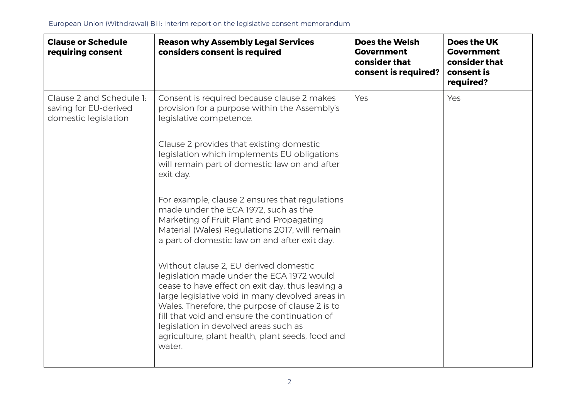| <b>Clause or Schedule</b><br>requiring consent                            | <b>Reason why Assembly Legal Services</b><br>considers consent is required                                                                                                                                                                                                                                                                                                                            | <b>Does the Welsh</b><br><b>Government</b><br>consider that<br>consent is required? | <b>Does the UK</b><br><b>Government</b><br>consider that<br>consent is<br>required? |
|---------------------------------------------------------------------------|-------------------------------------------------------------------------------------------------------------------------------------------------------------------------------------------------------------------------------------------------------------------------------------------------------------------------------------------------------------------------------------------------------|-------------------------------------------------------------------------------------|-------------------------------------------------------------------------------------|
| Clause 2 and Schedule 1:<br>saving for EU-derived<br>domestic legislation | Consent is required because clause 2 makes<br>provision for a purpose within the Assembly's<br>legislative competence.                                                                                                                                                                                                                                                                                | Yes                                                                                 | Yes                                                                                 |
|                                                                           | Clause 2 provides that existing domestic<br>legislation which implements EU obligations<br>will remain part of domestic law on and after<br>exit day.                                                                                                                                                                                                                                                 |                                                                                     |                                                                                     |
|                                                                           | For example, clause 2 ensures that regulations<br>made under the ECA 1972, such as the<br>Marketing of Fruit Plant and Propagating<br>Material (Wales) Regulations 2017, will remain<br>a part of domestic law on and after exit day.                                                                                                                                                                 |                                                                                     |                                                                                     |
|                                                                           | Without clause 2, EU-derived domestic<br>legislation made under the ECA 1972 would<br>cease to have effect on exit day, thus leaving a<br>large legislative void in many devolved areas in<br>Wales. Therefore, the purpose of clause 2 is to<br>fill that void and ensure the continuation of<br>legislation in devolved areas such as<br>agriculture, plant health, plant seeds, food and<br>water. |                                                                                     |                                                                                     |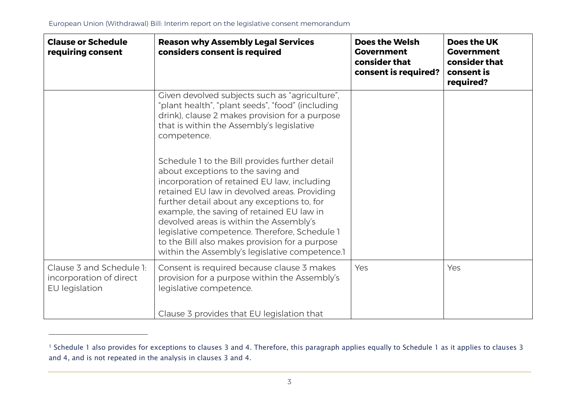j

| <b>Reason why Assembly Legal Services</b><br>considers consent is required                                                                                                                                                                                                                                                                                                                                                                                                      | <b>Does the Welsh</b><br><b>Government</b><br>consider that<br>consent is required? | Does the UK<br><b>Government</b><br>consider that<br>consent is<br>required? |
|---------------------------------------------------------------------------------------------------------------------------------------------------------------------------------------------------------------------------------------------------------------------------------------------------------------------------------------------------------------------------------------------------------------------------------------------------------------------------------|-------------------------------------------------------------------------------------|------------------------------------------------------------------------------|
| Given devolved subjects such as "agriculture",<br>"plant health", "plant seeds", "food" (including<br>drink), clause 2 makes provision for a purpose<br>that is within the Assembly's legislative<br>competence.                                                                                                                                                                                                                                                                |                                                                                     |                                                                              |
| Schedule 1 to the Bill provides further detail<br>about exceptions to the saving and<br>incorporation of retained EU law, including<br>retained EU law in devolved areas. Providing<br>further detail about any exceptions to, for<br>example, the saving of retained EU law in<br>devolved areas is within the Assembly's<br>legislative competence. Therefore, Schedule 1<br>to the Bill also makes provision for a purpose<br>within the Assembly's legislative competence.1 |                                                                                     |                                                                              |
| Consent is required because clause 3 makes<br>provision for a purpose within the Assembly's<br>legislative competence.                                                                                                                                                                                                                                                                                                                                                          | Yes                                                                                 | Yes                                                                          |
|                                                                                                                                                                                                                                                                                                                                                                                                                                                                                 | Clause 3 provides that EU legislation that                                          |                                                                              |

<sup>&</sup>lt;sup>1</sup> Schedule 1 also provides for exceptions to clauses 3 and 4. Therefore, this paragraph applies equally to Schedule 1 as it applies to clauses 3 and 4, and is not repeated in the analysis in clauses 3 and 4.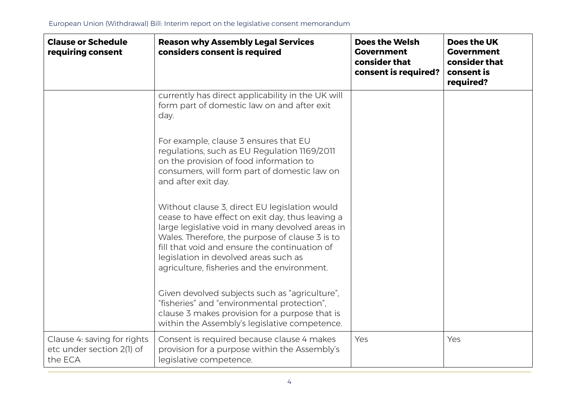| <b>Clause or Schedule</b><br>requiring consent                      | <b>Reason why Assembly Legal Services</b><br>considers consent is required                                                                                                                                                                                                                                                                        | <b>Does the Welsh</b><br><b>Government</b><br>consider that<br>consent is required? | Does the UK<br><b>Government</b><br>consider that<br>consent is<br>required? |
|---------------------------------------------------------------------|---------------------------------------------------------------------------------------------------------------------------------------------------------------------------------------------------------------------------------------------------------------------------------------------------------------------------------------------------|-------------------------------------------------------------------------------------|------------------------------------------------------------------------------|
|                                                                     | currently has direct applicability in the UK will<br>form part of domestic law on and after exit<br>day.                                                                                                                                                                                                                                          |                                                                                     |                                                                              |
|                                                                     | For example, clause 3 ensures that EU<br>regulations, such as EU Regulation 1169/2011<br>on the provision of food information to<br>consumers, will form part of domestic law on<br>and after exit day.                                                                                                                                           |                                                                                     |                                                                              |
|                                                                     | Without clause 3, direct EU legislation would<br>cease to have effect on exit day, thus leaving a<br>large legislative void in many devolved areas in<br>Wales. Therefore, the purpose of clause 3 is to<br>fill that void and ensure the continuation of<br>legislation in devolved areas such as<br>agriculture, fisheries and the environment. |                                                                                     |                                                                              |
|                                                                     | Given devolved subjects such as "agriculture",<br>"fisheries" and "environmental protection",<br>clause 3 makes provision for a purpose that is<br>within the Assembly's legislative competence.                                                                                                                                                  |                                                                                     |                                                                              |
| Clause 4: saving for rights<br>etc under section 2(1) of<br>the ECA | Consent is required because clause 4 makes<br>provision for a purpose within the Assembly's<br>legislative competence.                                                                                                                                                                                                                            | Yes                                                                                 | Yes                                                                          |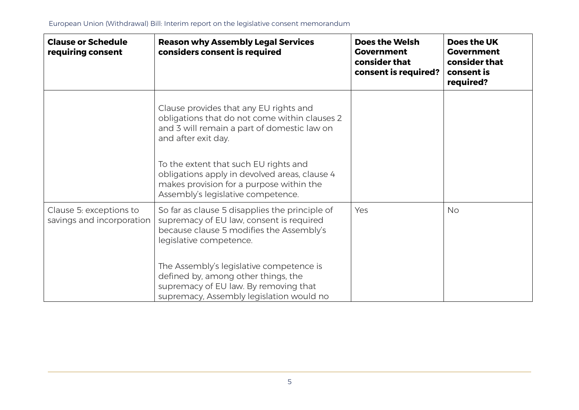| <b>Clause or Schedule</b><br>requiring consent       | <b>Reason why Assembly Legal Services</b><br>considers consent is required                                                                                               | <b>Does the Welsh</b><br><b>Government</b><br>consider that<br>consent is required? | Does the UK<br><b>Government</b><br>consider that<br>consent is<br>required? |
|------------------------------------------------------|--------------------------------------------------------------------------------------------------------------------------------------------------------------------------|-------------------------------------------------------------------------------------|------------------------------------------------------------------------------|
|                                                      | Clause provides that any EU rights and<br>obligations that do not come within clauses 2<br>and 3 will remain a part of domestic law on<br>and after exit day.            |                                                                                     |                                                                              |
|                                                      | To the extent that such EU rights and<br>obligations apply in devolved areas, clause 4<br>makes provision for a purpose within the<br>Assembly's legislative competence. |                                                                                     |                                                                              |
| Clause 5: exceptions to<br>savings and incorporation | So far as clause 5 disapplies the principle of<br>supremacy of EU law, consent is required<br>because clause 5 modifies the Assembly's<br>legislative competence.        | Yes                                                                                 | <b>No</b>                                                                    |
|                                                      | The Assembly's legislative competence is<br>defined by, among other things, the<br>supremacy of EU law. By removing that<br>supremacy, Assembly legislation would no     |                                                                                     |                                                                              |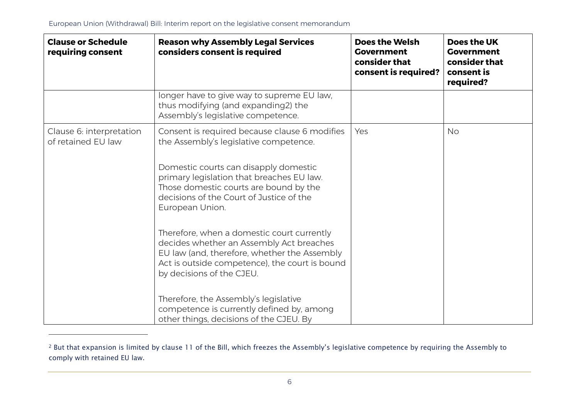j

| <b>Clause or Schedule</b><br>requiring consent | <b>Reason why Assembly Legal Services</b><br>considers consent is required                                                                                                                                            | <b>Does the Welsh</b><br><b>Government</b><br>consider that<br>consent is required? | <b>Does the UK</b><br><b>Government</b><br>consider that<br>consent is<br>required? |
|------------------------------------------------|-----------------------------------------------------------------------------------------------------------------------------------------------------------------------------------------------------------------------|-------------------------------------------------------------------------------------|-------------------------------------------------------------------------------------|
|                                                | longer have to give way to supreme EU law,<br>thus modifying (and expanding2) the<br>Assembly's legislative competence.                                                                                               |                                                                                     |                                                                                     |
| Clause 6: interpretation<br>of retained EU law | Consent is required because clause 6 modifies<br>the Assembly's legislative competence.                                                                                                                               | Yes                                                                                 | <b>No</b>                                                                           |
|                                                | Domestic courts can disapply domestic<br>primary legislation that breaches EU law.<br>Those domestic courts are bound by the<br>decisions of the Court of Justice of the<br>European Union.                           |                                                                                     |                                                                                     |
|                                                | Therefore, when a domestic court currently<br>decides whether an Assembly Act breaches<br>EU law (and, therefore, whether the Assembly<br>Act is outside competence), the court is bound<br>by decisions of the CJEU. |                                                                                     |                                                                                     |
|                                                | Therefore, the Assembly's legislative<br>competence is currently defined by, among<br>other things, decisions of the CJEU. By                                                                                         |                                                                                     |                                                                                     |

<sup>2</sup> But that expansion is limited by clause 11 of the Bill, which freezes the Assembly's legislative competence by requiring the Assembly to comply with retained EU law.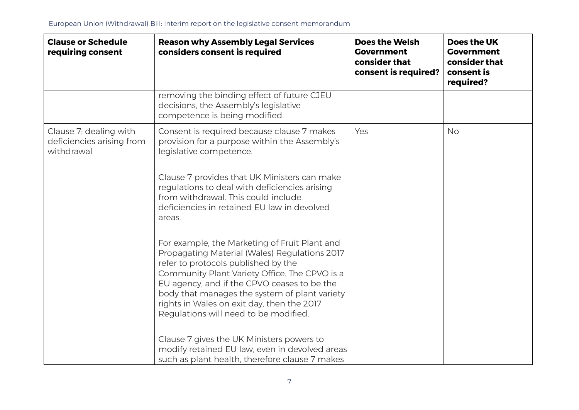| <b>Clause or Schedule</b><br>requiring consent                    | <b>Reason why Assembly Legal Services</b><br>considers consent is required                                                                                                                                                                                                                                                                                                    | <b>Does the Welsh</b><br><b>Government</b><br>consider that<br>consent is required? | Does the UK<br><b>Government</b><br>consider that<br>consent is<br>required? |
|-------------------------------------------------------------------|-------------------------------------------------------------------------------------------------------------------------------------------------------------------------------------------------------------------------------------------------------------------------------------------------------------------------------------------------------------------------------|-------------------------------------------------------------------------------------|------------------------------------------------------------------------------|
|                                                                   | removing the binding effect of future CJEU<br>decisions, the Assembly's legislative<br>competence is being modified.                                                                                                                                                                                                                                                          |                                                                                     |                                                                              |
| Clause 7: dealing with<br>deficiencies arising from<br>withdrawal | Consent is required because clause 7 makes<br>provision for a purpose within the Assembly's<br>legislative competence.                                                                                                                                                                                                                                                        | Yes                                                                                 | <b>No</b>                                                                    |
|                                                                   | Clause 7 provides that UK Ministers can make<br>regulations to deal with deficiencies arising<br>from withdrawal. This could include<br>deficiencies in retained EU law in devolved<br>areas.                                                                                                                                                                                 |                                                                                     |                                                                              |
|                                                                   | For example, the Marketing of Fruit Plant and<br>Propagating Material (Wales) Regulations 2017<br>refer to protocols published by the<br>Community Plant Variety Office. The CPVO is a<br>EU agency, and if the CPVO ceases to be the<br>body that manages the system of plant variety<br>rights in Wales on exit day, then the 2017<br>Regulations will need to be modified. |                                                                                     |                                                                              |
|                                                                   | Clause 7 gives the UK Ministers powers to<br>modify retained EU law, even in devolved areas<br>such as plant health, therefore clause 7 makes                                                                                                                                                                                                                                 |                                                                                     |                                                                              |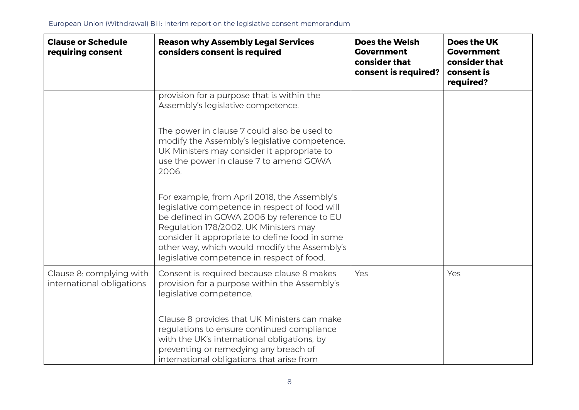| <b>Clause or Schedule</b><br>requiring consent        | <b>Reason why Assembly Legal Services</b><br>considers consent is required                                                                                                                                                                                                                                                            | <b>Does the Welsh</b><br><b>Government</b><br>consider that<br>consent is required? | Does the UK<br><b>Government</b><br>consider that<br>consent is<br>required? |
|-------------------------------------------------------|---------------------------------------------------------------------------------------------------------------------------------------------------------------------------------------------------------------------------------------------------------------------------------------------------------------------------------------|-------------------------------------------------------------------------------------|------------------------------------------------------------------------------|
|                                                       | provision for a purpose that is within the<br>Assembly's legislative competence.                                                                                                                                                                                                                                                      |                                                                                     |                                                                              |
|                                                       | The power in clause 7 could also be used to<br>modify the Assembly's legislative competence.<br>UK Ministers may consider it appropriate to<br>use the power in clause 7 to amend GOWA<br>2006.                                                                                                                                       |                                                                                     |                                                                              |
|                                                       | For example, from April 2018, the Assembly's<br>legislative competence in respect of food will<br>be defined in GOWA 2006 by reference to EU<br>Regulation 178/2002. UK Ministers may<br>consider it appropriate to define food in some<br>other way, which would modify the Assembly's<br>legislative competence in respect of food. |                                                                                     |                                                                              |
| Clause 8: complying with<br>international obligations | Consent is required because clause 8 makes<br>provision for a purpose within the Assembly's<br>legislative competence.                                                                                                                                                                                                                | Yes                                                                                 | Yes                                                                          |
|                                                       | Clause 8 provides that UK Ministers can make<br>regulations to ensure continued compliance<br>with the UK's international obligations, by<br>preventing or remedying any breach of<br>international obligations that arise from                                                                                                       |                                                                                     |                                                                              |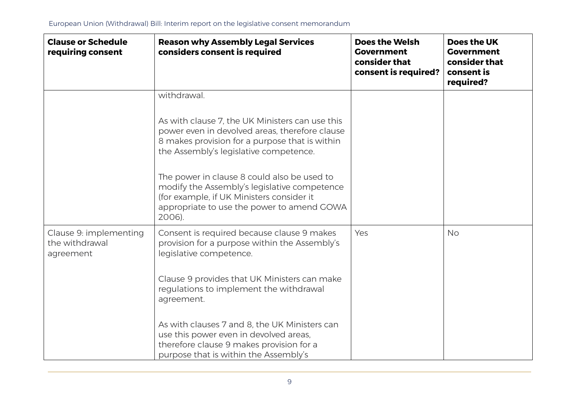| <b>Clause or Schedule</b><br>requiring consent        | <b>Reason why Assembly Legal Services</b><br>considers consent is required                                                                                                                       | <b>Does the Welsh</b><br><b>Government</b><br>consider that<br>consent is required? | Does the UK<br><b>Government</b><br>consider that<br>consent is<br>required? |
|-------------------------------------------------------|--------------------------------------------------------------------------------------------------------------------------------------------------------------------------------------------------|-------------------------------------------------------------------------------------|------------------------------------------------------------------------------|
|                                                       | withdrawal.                                                                                                                                                                                      |                                                                                     |                                                                              |
|                                                       | As with clause 7, the UK Ministers can use this<br>power even in devolved areas, therefore clause<br>8 makes provision for a purpose that is within<br>the Assembly's legislative competence.    |                                                                                     |                                                                              |
|                                                       | The power in clause 8 could also be used to<br>modify the Assembly's legislative competence<br>(for example, if UK Ministers consider it<br>appropriate to use the power to amend GOWA<br>2006). |                                                                                     |                                                                              |
| Clause 9: implementing<br>the withdrawal<br>agreement | Consent is required because clause 9 makes<br>provision for a purpose within the Assembly's<br>legislative competence.                                                                           | Yes                                                                                 | <b>No</b>                                                                    |
|                                                       | Clause 9 provides that UK Ministers can make<br>regulations to implement the withdrawal<br>agreement.                                                                                            |                                                                                     |                                                                              |
|                                                       | As with clauses 7 and 8, the UK Ministers can<br>use this power even in devolved areas,<br>therefore clause 9 makes provision for a<br>purpose that is within the Assembly's                     |                                                                                     |                                                                              |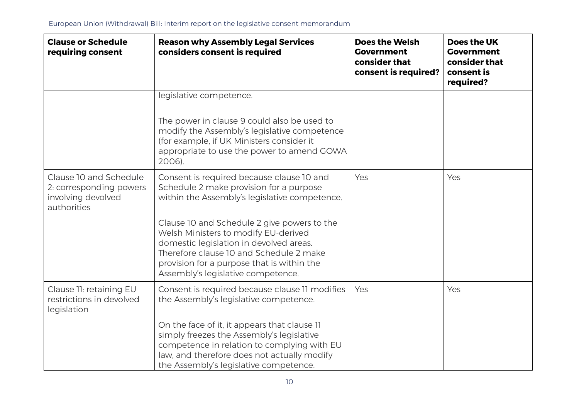| <b>Clause or Schedule</b><br>requiring consent                                         | <b>Reason why Assembly Legal Services</b><br>considers consent is required                                                                                                                                                                                                                                                                                                                             | <b>Does the Welsh</b><br><b>Government</b><br>consider that<br>consent is required? | Does the UK<br><b>Government</b><br>consider that<br>consent is<br>required? |
|----------------------------------------------------------------------------------------|--------------------------------------------------------------------------------------------------------------------------------------------------------------------------------------------------------------------------------------------------------------------------------------------------------------------------------------------------------------------------------------------------------|-------------------------------------------------------------------------------------|------------------------------------------------------------------------------|
|                                                                                        | legislative competence.<br>The power in clause 9 could also be used to<br>modify the Assembly's legislative competence<br>(for example, if UK Ministers consider it<br>appropriate to use the power to amend GOWA<br>2006).                                                                                                                                                                            |                                                                                     |                                                                              |
| Clause 10 and Schedule<br>2: corresponding powers<br>involving devolved<br>authorities | Consent is required because clause 10 and<br>Schedule 2 make provision for a purpose<br>within the Assembly's legislative competence.<br>Clause 10 and Schedule 2 give powers to the<br>Welsh Ministers to modify EU-derived<br>domestic legislation in devolved areas.<br>Therefore clause 10 and Schedule 2 make<br>provision for a purpose that is within the<br>Assembly's legislative competence. | Yes                                                                                 | Yes                                                                          |
| Clause 11: retaining EU<br>restrictions in devolved<br>legislation                     | Consent is required because clause 11 modifies<br>the Assembly's legislative competence.<br>On the face of it, it appears that clause 11<br>simply freezes the Assembly's legislative<br>competence in relation to complying with EU<br>law, and therefore does not actually modify<br>the Assembly's legislative competence.                                                                          | Yes                                                                                 | Yes                                                                          |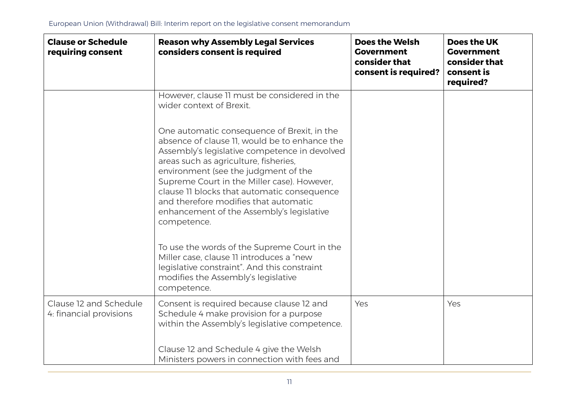| <b>Clause or Schedule</b><br>requiring consent    | <b>Reason why Assembly Legal Services</b><br>considers consent is required                                                                                                                                                                                                                                                                                                                                                        | <b>Does the Welsh</b><br><b>Government</b><br>consider that<br>consent is required? | Does the UK<br><b>Government</b><br>consider that<br>consent is<br>required? |
|---------------------------------------------------|-----------------------------------------------------------------------------------------------------------------------------------------------------------------------------------------------------------------------------------------------------------------------------------------------------------------------------------------------------------------------------------------------------------------------------------|-------------------------------------------------------------------------------------|------------------------------------------------------------------------------|
|                                                   | However, clause 11 must be considered in the<br>wider context of Brexit.                                                                                                                                                                                                                                                                                                                                                          |                                                                                     |                                                                              |
|                                                   | One automatic consequence of Brexit, in the<br>absence of clause 11, would be to enhance the<br>Assembly's legislative competence in devolved<br>areas such as agriculture, fisheries,<br>environment (see the judgment of the<br>Supreme Court in the Miller case). However,<br>clause 11 blocks that automatic consequence<br>and therefore modifies that automatic<br>enhancement of the Assembly's legislative<br>competence. |                                                                                     |                                                                              |
|                                                   | To use the words of the Supreme Court in the<br>Miller case, clause 11 introduces a "new<br>legislative constraint". And this constraint<br>modifies the Assembly's legislative<br>competence.                                                                                                                                                                                                                                    |                                                                                     |                                                                              |
| Clause 12 and Schedule<br>4: financial provisions | Consent is required because clause 12 and<br>Schedule 4 make provision for a purpose<br>within the Assembly's legislative competence.                                                                                                                                                                                                                                                                                             | Yes                                                                                 | Yes                                                                          |
|                                                   | Clause 12 and Schedule 4 give the Welsh<br>Ministers powers in connection with fees and                                                                                                                                                                                                                                                                                                                                           |                                                                                     |                                                                              |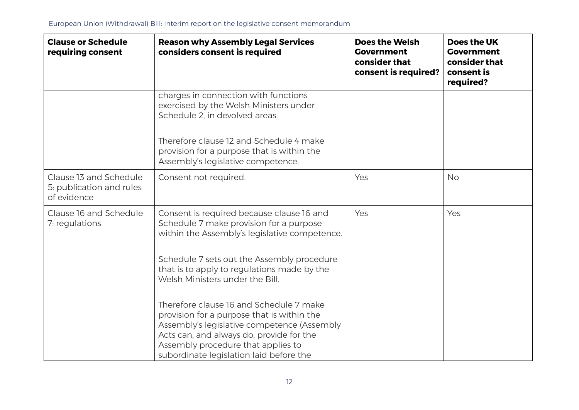| <b>Clause or Schedule</b><br>requiring consent                    | <b>Reason why Assembly Legal Services</b><br>considers consent is required                                                                                                                                                                                        | <b>Does the Welsh</b><br><b>Government</b><br>consider that<br>consent is required? | Does the UK<br><b>Government</b><br>consider that<br>consent is<br>required? |
|-------------------------------------------------------------------|-------------------------------------------------------------------------------------------------------------------------------------------------------------------------------------------------------------------------------------------------------------------|-------------------------------------------------------------------------------------|------------------------------------------------------------------------------|
|                                                                   | charges in connection with functions<br>exercised by the Welsh Ministers under<br>Schedule 2. in devolved areas.                                                                                                                                                  |                                                                                     |                                                                              |
|                                                                   | Therefore clause 12 and Schedule 4 make<br>provision for a purpose that is within the<br>Assembly's legislative competence.                                                                                                                                       |                                                                                     |                                                                              |
| Clause 13 and Schedule<br>5: publication and rules<br>of evidence | Consent not required.                                                                                                                                                                                                                                             | Yes                                                                                 | <b>No</b>                                                                    |
| Clause 16 and Schedule<br>7: regulations                          | Consent is required because clause 16 and<br>Schedule 7 make provision for a purpose<br>within the Assembly's legislative competence.                                                                                                                             | Yes                                                                                 | Yes                                                                          |
|                                                                   | Schedule 7 sets out the Assembly procedure<br>that is to apply to regulations made by the<br>Welsh Ministers under the Bill.                                                                                                                                      |                                                                                     |                                                                              |
|                                                                   | Therefore clause 16 and Schedule 7 make<br>provision for a purpose that is within the<br>Assembly's legislative competence (Assembly<br>Acts can, and always do, provide for the<br>Assembly procedure that applies to<br>subordinate legislation laid before the |                                                                                     |                                                                              |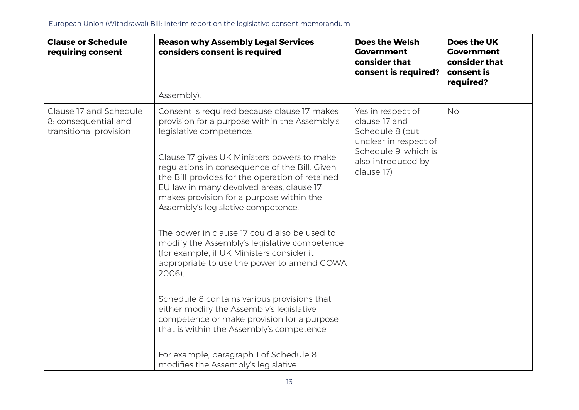| <b>Clause or Schedule</b><br>requiring consent                           | <b>Reason why Assembly Legal Services</b><br>considers consent is required                                                                                                                                                                                                                                                                                                                                                                                                                                                                                                                                                                                                                                                                                                                                                                                                           | <b>Does the Welsh</b><br><b>Government</b><br>consider that<br>consent is required?                                                        | Does the UK<br><b>Government</b><br>consider that<br>consent is<br>required? |
|--------------------------------------------------------------------------|--------------------------------------------------------------------------------------------------------------------------------------------------------------------------------------------------------------------------------------------------------------------------------------------------------------------------------------------------------------------------------------------------------------------------------------------------------------------------------------------------------------------------------------------------------------------------------------------------------------------------------------------------------------------------------------------------------------------------------------------------------------------------------------------------------------------------------------------------------------------------------------|--------------------------------------------------------------------------------------------------------------------------------------------|------------------------------------------------------------------------------|
|                                                                          | Assembly).                                                                                                                                                                                                                                                                                                                                                                                                                                                                                                                                                                                                                                                                                                                                                                                                                                                                           |                                                                                                                                            |                                                                              |
| Clause 17 and Schedule<br>8: consequential and<br>transitional provision | Consent is required because clause 17 makes<br>provision for a purpose within the Assembly's<br>legislative competence.<br>Clause 17 gives UK Ministers powers to make<br>regulations in consequence of the Bill. Given<br>the Bill provides for the operation of retained<br>EU law in many devolved areas, clause 17<br>makes provision for a purpose within the<br>Assembly's legislative competence.<br>The power in clause 17 could also be used to<br>modify the Assembly's legislative competence<br>(for example, if UK Ministers consider it<br>appropriate to use the power to amend GOWA<br>2006).<br>Schedule 8 contains various provisions that<br>either modify the Assembly's legislative<br>competence or make provision for a purpose<br>that is within the Assembly's competence.<br>For example, paragraph 1 of Schedule 8<br>modifies the Assembly's legislative | Yes in respect of<br>clause 17 and<br>Schedule 8 (but<br>unclear in respect of<br>Schedule 9, which is<br>also introduced by<br>clause 17) | <b>No</b>                                                                    |